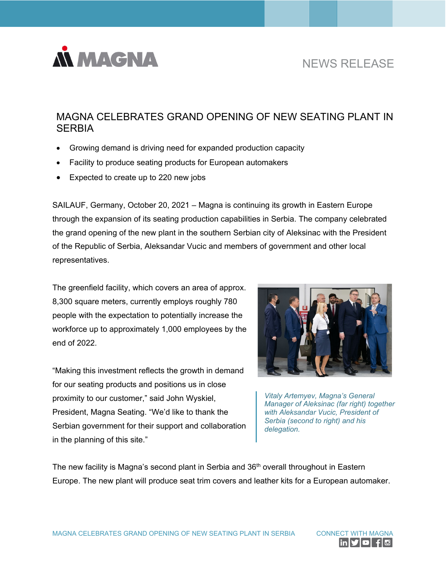

## NEWS RELEASE

## MAGNA CELEBRATES GRAND OPENING OF NEW SEATING PLANT IN **SERBIA**

- Growing demand is driving need for expanded production capacity
- Facility to produce seating products for European automakers
- Expected to create up to 220 new jobs

SAILAUF, Germany, October 20, 2021 – Magna is continuing its growth in Eastern Europe through the expansion of its seating production capabilities in Serbia. The company celebrated the grand opening of the new plant in the southern Serbian city of Aleksinac with the President of the Republic of Serbia, Aleksandar Vucic and members of government and other local representatives.

The greenfield facility, which covers an area of approx. 8,300 square meters, currently employs roughly 780 people with the expectation to potentially increase the workforce up to approximately 1,000 employees by the end of 2022.

"Making this investment reflects the growth in demand for our seating products and positions us in close proximity to our customer," said John Wyskiel, President, Magna Seating. "We'd like to thank the Serbian government for their support and collaboration in the planning of this site."



*Vitaly Artemyev, Magna's General Manager of Aleksinac (far right) together with Aleksandar Vucic, President of Serbia (second to right) and his delegation.*

The new facility is Magna's second plant in Serbia and 36<sup>th</sup> overall throughout in Eastern Europe. The new plant will produce seat trim covers and leather kits for a European automaker.

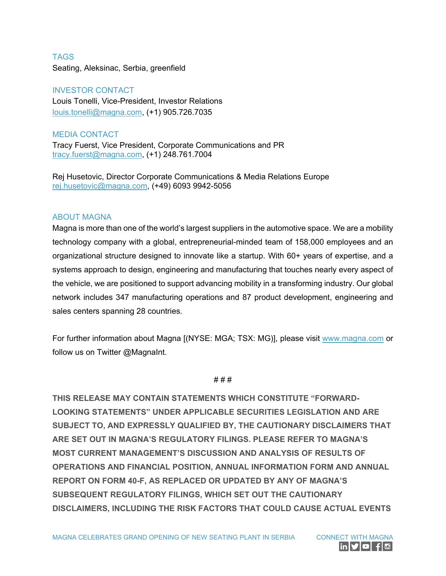**TAGS** Seating, Aleksinac, Serbia, greenfield

## INVESTOR CONTACT

Louis Tonelli, Vice-President, Investor Relations [louis.tonelli@magna.com,](mailto:louis.tonelli@magna.com) (+1) 905.726.7035

MEDIA CONTACT

Tracy Fuerst, Vice President, Corporate Communications and PR [tracy.fuerst@magna.com,](mailto:tracy.fuerst@magna.com) (+1) 248.761.7004

Rej Husetovic, Director Corporate Communications & Media Relations Europe [rej.husetovic@magna.com,](mailto:rej.husetovic@magna.com) (+49) 6093 9942-5056

## ABOUT MAGNA

Magna is more than one of the world's largest suppliers in the automotive space. We are a mobility technology company with a global, entrepreneurial-minded team of 158,000 employees and an organizational structure designed to innovate like a startup. With 60+ years of expertise, and a systems approach to design, engineering and manufacturing that touches nearly every aspect of the vehicle, we are positioned to support advancing mobility in a transforming industry. Our global network includes 347 manufacturing operations and 87 product development, engineering and sales centers spanning 28 countries.

For further information about Magna [(NYSE: MGA; TSX: MG)], please visit [www.magna.com](https://www.magna.com/) or follow us on Twitter @MagnaInt.

# # #

**THIS RELEASE MAY CONTAIN STATEMENTS WHICH CONSTITUTE "FORWARD-LOOKING STATEMENTS" UNDER APPLICABLE SECURITIES LEGISLATION AND ARE SUBJECT TO, AND EXPRESSLY QUALIFIED BY, THE CAUTIONARY DISCLAIMERS THAT ARE SET OUT IN MAGNA'S REGULATORY FILINGS. PLEASE REFER TO MAGNA'S MOST CURRENT MANAGEMENT'S DISCUSSION AND ANALYSIS OF RESULTS OF OPERATIONS AND FINANCIAL POSITION, ANNUAL INFORMATION FORM AND ANNUAL REPORT ON FORM 40-F, AS REPLACED OR UPDATED BY ANY OF MAGNA'S SUBSEQUENT REGULATORY FILINGS, WHICH SET OUT THE CAUTIONARY DISCLAIMERS, INCLUDING THE RISK FACTORS THAT COULD CAUSE ACTUAL EVENTS**